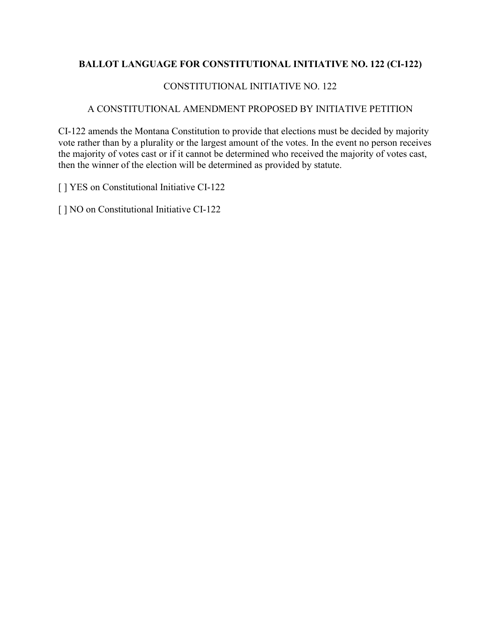## **BALLOT LANGUAGE FOR CONSTITUTIONAL INITIATIVE NO. 122 (CI-122)**

## CONSTITUTIONAL INITIATIVE NO. 122

## A CONSTITUTIONAL AMENDMENT PROPOSED BY INITIATIVE PETITION

CI-122 amends the Montana Constitution to provide that elections must be decided by majority vote rather than by a plurality or the largest amount of the votes. In the event no person receives the majority of votes cast or if it cannot be determined who received the majority of votes cast, then the winner of the election will be determined as provided by statute.

[] YES on Constitutional Initiative CI-122

[] NO on Constitutional Initiative CI-122